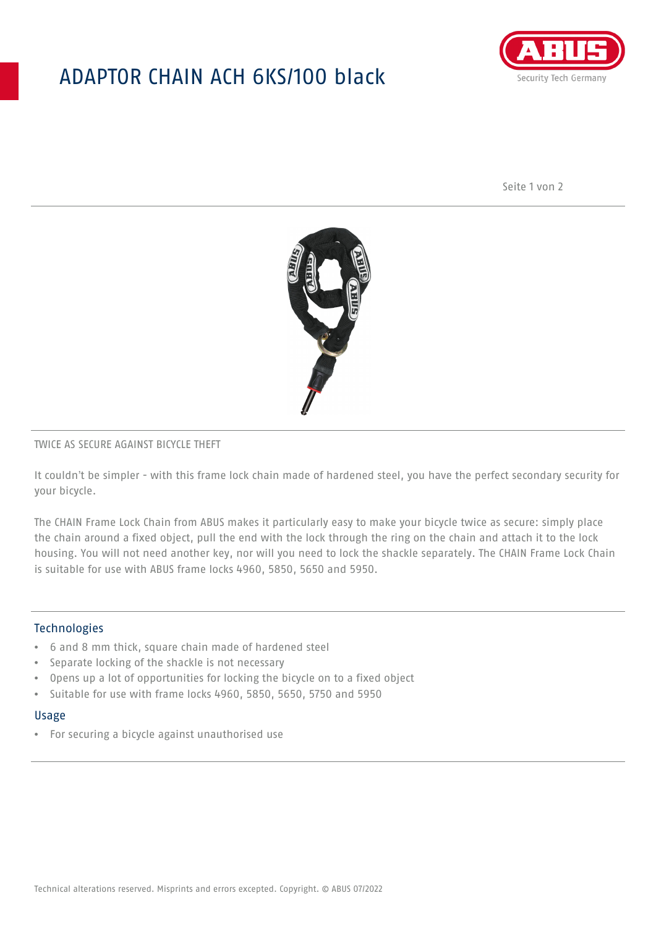## ADAPTOR CHAIN ACH 6KS/100 black



Seite 1 von 2



### TWICE AS SECURE AGAINST BICYCLE THEFT

It couldn't be simpler - with this frame lock chain made of hardened steel, you have the perfect secondary security for your bicycle.

The CHAIN Frame Lock Chain from ABUS makes it particularly easy to make your bicycle twice as secure: simply place the chain around a fixed object, pull the end with the lock through the ring on the chain and attach it to the lock housing. You will not need another key, nor will you need to lock the shackle separately. The CHAIN Frame Lock Chain is suitable for use with ABUS frame locks 4960, 5850, 5650 and 5950.

### Technologies

- 6 and 8 mm thick, square chain made of hardened steel
- Separate locking of the shackle is not necessary
- Opens up a lot of opportunities for locking the bicycle on to a fixed object
- Suitable for use with frame locks 4960, 5850, 5650, 5750 and 5950

#### Usage

• For securing a bicycle against unauthorised use